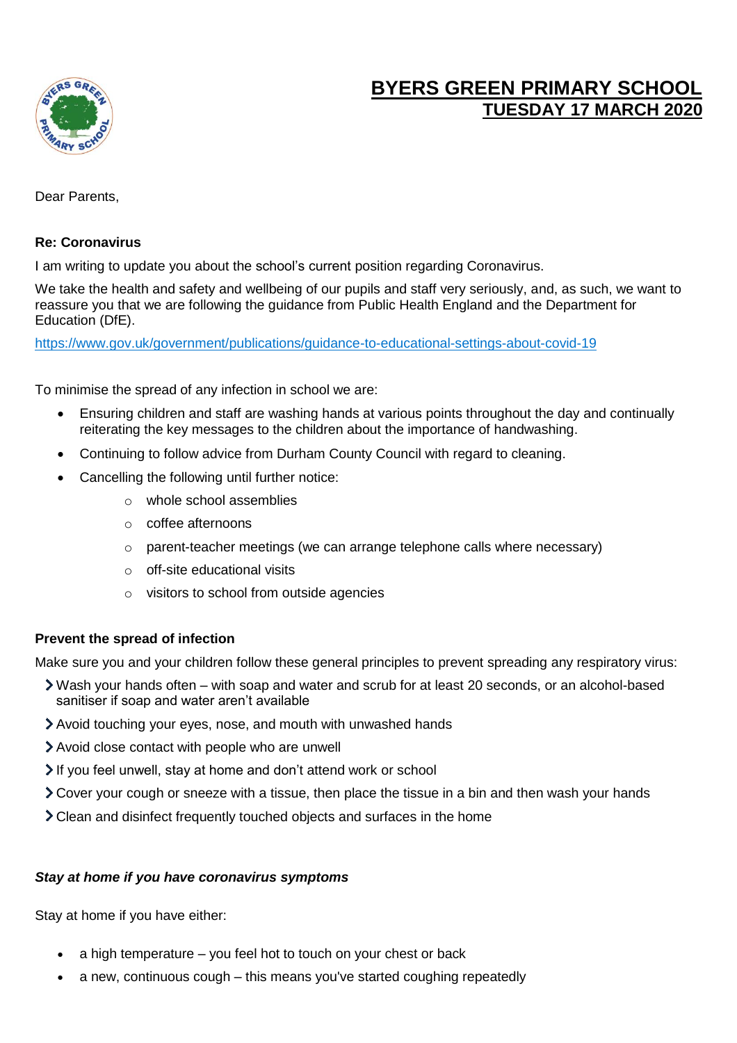

# **BYERS GREEN PRIMARY SCHOOL TUESDAY 17 MARCH 2020**

Dear Parents,

## **Re: Coronavirus**

I am writing to update you about the school's current position regarding Coronavirus.

We take the health and safety and wellbeing of our pupils and staff very seriously, and, as such, we want to reassure you that we are following the guidance from Public Health England and the Department for Education (DfE).

<https://www.gov.uk/government/publications/guidance-to-educational-settings-about-covid-19>

To minimise the spread of any infection in school we are:

- Ensuring children and staff are washing hands at various points throughout the day and continually reiterating the key messages to the children about the importance of handwashing.
- Continuing to follow advice from Durham County Council with regard to cleaning.
- Cancelling the following until further notice:
	- o whole school assemblies
	- o coffee afternoons
	- o parent-teacher meetings (we can arrange telephone calls where necessary)
	- o off-site educational visits
	- o visitors to school from outside agencies

## **Prevent the spread of infection**

Make sure you and your children follow these general principles to prevent spreading any respiratory virus:

- Wash your hands often with soap and water and scrub for at least 20 seconds, or an alcohol-based sanitiser if soap and water aren't available
- Avoid touching your eyes, nose, and mouth with unwashed hands
- Avoid close contact with people who are unwell
- If you feel unwell, stay at home and don't attend work or school
- Cover your cough or sneeze with a tissue, then place the tissue in a bin and then wash your hands
- Clean and disinfect frequently touched objects and surfaces in the home

## *Stay at home if you have coronavirus symptoms*

Stay at home if you have either:

- a high temperature you feel hot to touch on your chest or back
- a new, continuous cough this means you've started coughing repeatedly